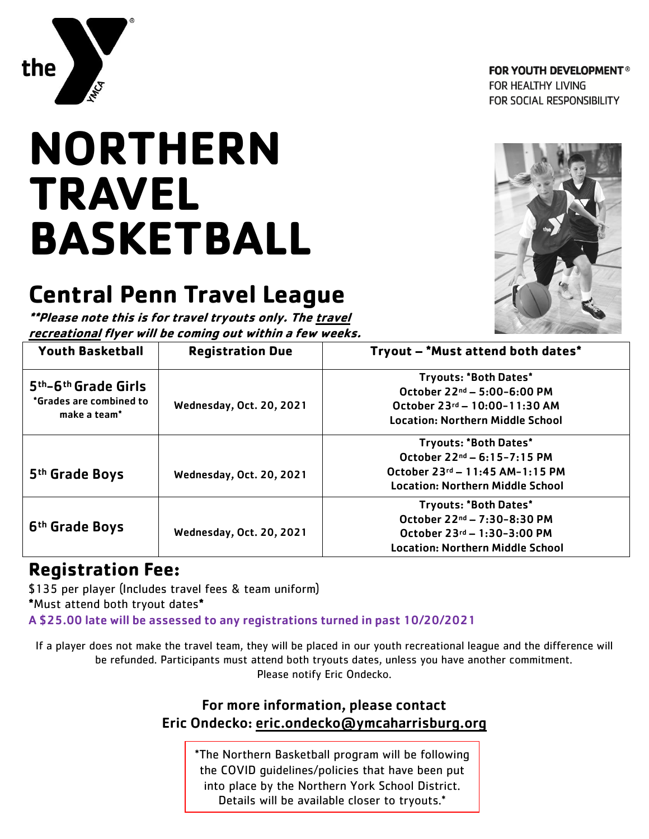

**FOR YOUTH DEVELOPMENT®** FOR HEALTHY LIVING FOR SOCIAL RESPONSIBILITY

# **NORTHERN TRAVEL BASKETBALL**

## **Central Penn Travel League**

**\*\*Please note this is for travel tryouts only. The travel recreational flyer will be coming out within a few weeks.**



| I CLI CALIVIIAI IIYCI  WIII DE LUIIIIIY UUL WILIIIII A IEW WECKS.                                   |                                 |                                         |  |  |  |
|-----------------------------------------------------------------------------------------------------|---------------------------------|-----------------------------------------|--|--|--|
| <b>Youth Basketball</b>                                                                             | <b>Registration Due</b>         | Tryout - *Must attend both dates*       |  |  |  |
|                                                                                                     |                                 | <b>Tryouts: *Both Dates*</b>            |  |  |  |
| 5 <sup>th</sup> -6 <sup>th</sup> Grade Girls<br>*Grades are combined to<br>make a team <sup>*</sup> |                                 | October $22^{nd} - 5:00 - 6:00$ PM      |  |  |  |
|                                                                                                     | <b>Wednesday, Oct. 20, 2021</b> | October 23rd - 10:00-11:30 AM           |  |  |  |
|                                                                                                     |                                 | <b>Location: Northern Middle School</b> |  |  |  |
|                                                                                                     |                                 | <b>Tryouts: *Both Dates*</b>            |  |  |  |
|                                                                                                     |                                 | October 22 <sup>nd</sup> - 6:15-7:15 PM |  |  |  |
| 5 <sup>th</sup> Grade Boys                                                                          | Wednesday, Oct. 20, 2021        | October 23rd - 11:45 AM-1:15 PM         |  |  |  |
|                                                                                                     |                                 | <b>Location: Northern Middle School</b> |  |  |  |
|                                                                                                     |                                 | <b>Tryouts: *Both Dates*</b>            |  |  |  |
| 6 <sup>th</sup> Grade Boys                                                                          |                                 | October 22 <sup>nd</sup> - 7:30-8:30 PM |  |  |  |
|                                                                                                     | <b>Wednesday, Oct. 20, 2021</b> | October 23rd - 1:30-3:00 PM             |  |  |  |
|                                                                                                     |                                 | <b>Location: Northern Middle School</b> |  |  |  |

### **Registration Fee:**

\$135 per player (Includes travel fees & team uniform) **\***Must attend both tryout dates**\*** A \$25.00 late will be assessed to any registrations turned in past 10/20/2021

If a player does not make the travel team, they will be placed in our youth recreational league and the difference will be refunded. Participants must attend both tryouts dates, unless you have another commitment. Please notify Eric Ondecko.

#### For more information, please contact Eric Ondecko: [eric.ondecko@ymcaharrisburg.org](mailto:eric.ondecko@ymcaharrisburg.org)

\*The Northern Basketball program will be following the COVID guidelines/policies that have been put into place by the Northern York School District. Details will be available closer to tryouts.\*